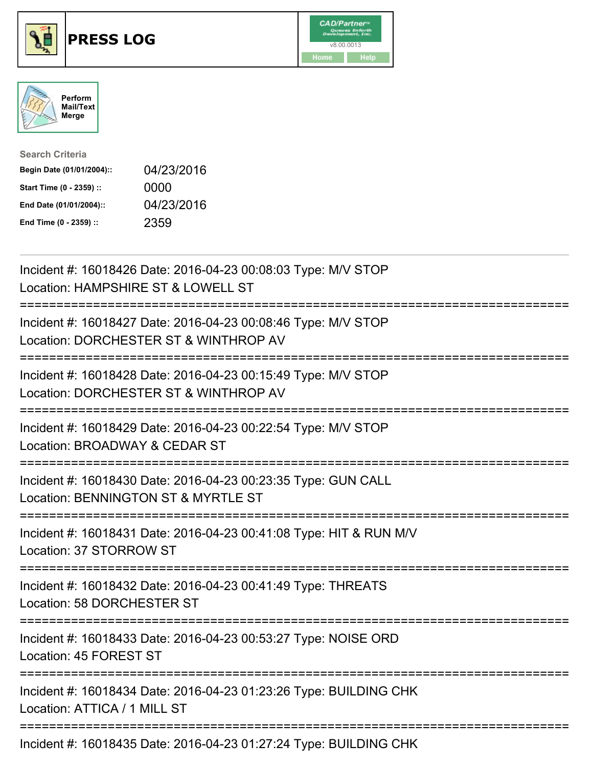





| <b>Search Criteria</b>    |            |
|---------------------------|------------|
| Begin Date (01/01/2004):: | 04/23/2016 |
| Start Time (0 - 2359) ::  | 0000       |
| End Date (01/01/2004)::   | 04/23/2016 |
| End Time (0 - 2359) ::    | 2359       |

| Incident #: 16018426 Date: 2016-04-23 00:08:03 Type: M/V STOP<br>Location: HAMPSHIRE ST & LOWELL ST                    |
|------------------------------------------------------------------------------------------------------------------------|
| Incident #: 16018427 Date: 2016-04-23 00:08:46 Type: M/V STOP<br>Location: DORCHESTER ST & WINTHROP AV                 |
| Incident #: 16018428 Date: 2016-04-23 00:15:49 Type: M/V STOP<br>Location: DORCHESTER ST & WINTHROP AV                 |
| Incident #: 16018429 Date: 2016-04-23 00:22:54 Type: M/V STOP<br>Location: BROADWAY & CEDAR ST<br>==================== |
| Incident #: 16018430 Date: 2016-04-23 00:23:35 Type: GUN CALL<br>Location: BENNINGTON ST & MYRTLE ST                   |
| Incident #: 16018431 Date: 2016-04-23 00:41:08 Type: HIT & RUN M/V<br>Location: 37 STORROW ST<br>;==================== |
| Incident #: 16018432 Date: 2016-04-23 00:41:49 Type: THREATS<br>Location: 58 DORCHESTER ST                             |
| --------------------<br>Incident #: 16018433 Date: 2016-04-23 00:53:27 Type: NOISE ORD<br>Location: 45 FOREST ST       |
| Incident #: 16018434 Date: 2016-04-23 01:23:26 Type: BUILDING CHK<br>Location: ATTICA / 1 MILL ST                      |
| Incident #: 16018435 Date: 2016-04-23 01:27:24 Type: BUILDING CHK                                                      |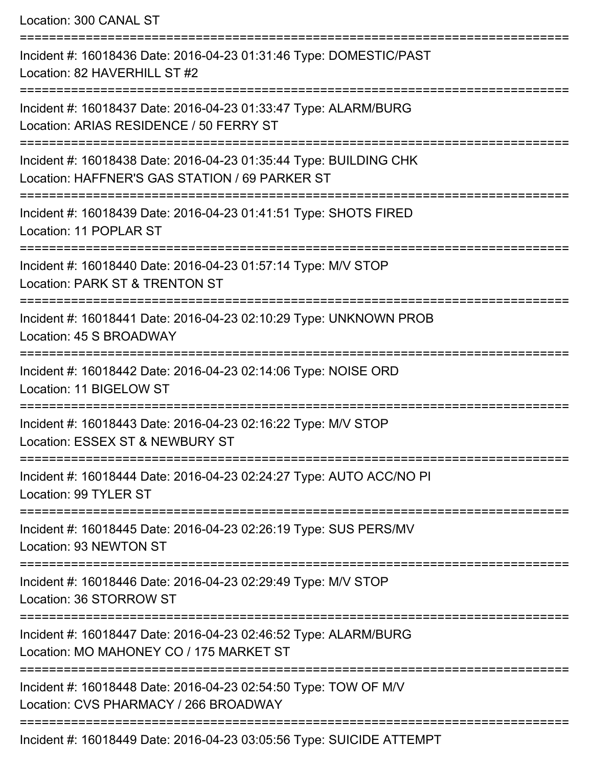Location: 300 CANAL ST =========================================================================== Incident #: 16018436 Date: 2016-04-23 01:31:46 Type: DOMESTIC/PAST Location: 82 HAVERHILL ST #2 =========================================================================== Incident #: 16018437 Date: 2016-04-23 01:33:47 Type: ALARM/BURG Location: ARIAS RESIDENCE / 50 FERRY ST =========================================================================== Incident #: 16018438 Date: 2016-04-23 01:35:44 Type: BUILDING CHK Location: HAFFNER'S GAS STATION / 69 PARKER ST =========================================================================== Incident #: 16018439 Date: 2016-04-23 01:41:51 Type: SHOTS FIRED Location: 11 POPLAR ST =========================================================================== Incident #: 16018440 Date: 2016-04-23 01:57:14 Type: M/V STOP Location: PARK ST & TRENTON ST =========================================================================== Incident #: 16018441 Date: 2016-04-23 02:10:29 Type: UNKNOWN PROB Location: 45 S BROADWAY =========================================================================== Incident #: 16018442 Date: 2016-04-23 02:14:06 Type: NOISE ORD Location: 11 BIGELOW ST =========================================================================== Incident #: 16018443 Date: 2016-04-23 02:16:22 Type: M/V STOP Location: ESSEX ST & NEWBURY ST =========================================================================== Incident #: 16018444 Date: 2016-04-23 02:24:27 Type: AUTO ACC/NO PI Location: 99 TYLER ST =========================================================================== Incident #: 16018445 Date: 2016-04-23 02:26:19 Type: SUS PERS/MV Location: 93 NEWTON ST =========================================================================== Incident #: 16018446 Date: 2016-04-23 02:29:49 Type: M/V STOP Location: 36 STORROW ST =========================================================================== Incident #: 16018447 Date: 2016-04-23 02:46:52 Type: ALARM/BURG Location: MO MAHONEY CO / 175 MARKET ST =========================================================================== Incident #: 16018448 Date: 2016-04-23 02:54:50 Type: TOW OF M/V Location: CVS PHARMACY / 266 BROADWAY ===========================================================================

Incident #: 16018449 Date: 2016-04-23 03:05:56 Type: SUICIDE ATTEMPT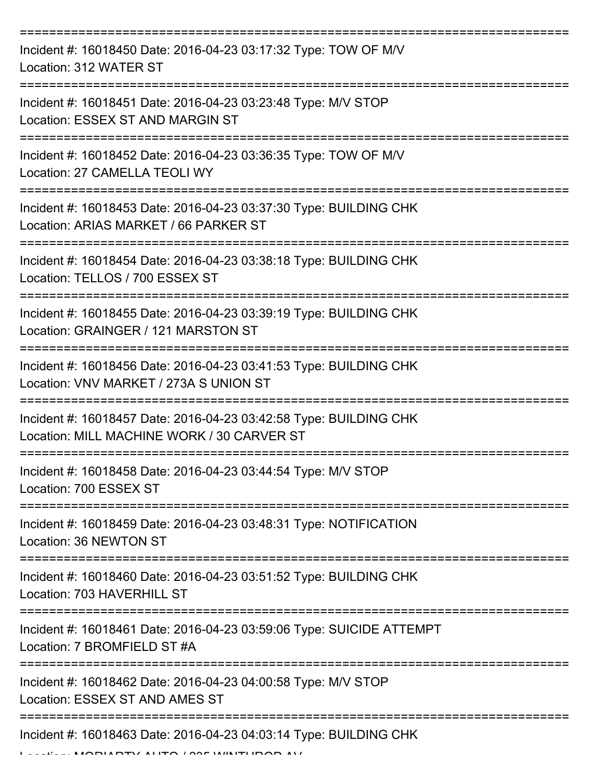| Incident #: 16018450 Date: 2016-04-23 03:17:32 Type: TOW OF M/V<br>Location: 312 WATER ST                       |
|-----------------------------------------------------------------------------------------------------------------|
| Incident #: 16018451 Date: 2016-04-23 03:23:48 Type: M/V STOP<br>Location: ESSEX ST AND MARGIN ST               |
| Incident #: 16018452 Date: 2016-04-23 03:36:35 Type: TOW OF M/V<br>Location: 27 CAMELLA TEOLI WY                |
| Incident #: 16018453 Date: 2016-04-23 03:37:30 Type: BUILDING CHK<br>Location: ARIAS MARKET / 66 PARKER ST      |
| Incident #: 16018454 Date: 2016-04-23 03:38:18 Type: BUILDING CHK<br>Location: TELLOS / 700 ESSEX ST            |
| Incident #: 16018455 Date: 2016-04-23 03:39:19 Type: BUILDING CHK<br>Location: GRAINGER / 121 MARSTON ST        |
| Incident #: 16018456 Date: 2016-04-23 03:41:53 Type: BUILDING CHK<br>Location: VNV MARKET / 273A S UNION ST     |
| Incident #: 16018457 Date: 2016-04-23 03:42:58 Type: BUILDING CHK<br>Location: MILL MACHINE WORK / 30 CARVER ST |
| Incident #: 16018458 Date: 2016-04-23 03:44:54 Type: M/V STOP<br>Location: 700 ESSEX ST                         |
| Incident #: 16018459 Date: 2016-04-23 03:48:31 Type: NOTIFICATION<br>Location: 36 NEWTON ST                     |
| Incident #: 16018460 Date: 2016-04-23 03:51:52 Type: BUILDING CHK<br>Location: 703 HAVERHILL ST                 |
| Incident #: 16018461 Date: 2016-04-23 03:59:06 Type: SUICIDE ATTEMPT<br>Location: 7 BROMFIELD ST #A             |
| Incident #: 16018462 Date: 2016-04-23 04:00:58 Type: M/V STOP<br>Location: ESSEX ST AND AMES ST                 |
| Incident #: 16018463 Date: 2016-04-23 04:03:14 Type: BUILDING CHK<br>DTV ALITA LOOF WINITLIDAD AV               |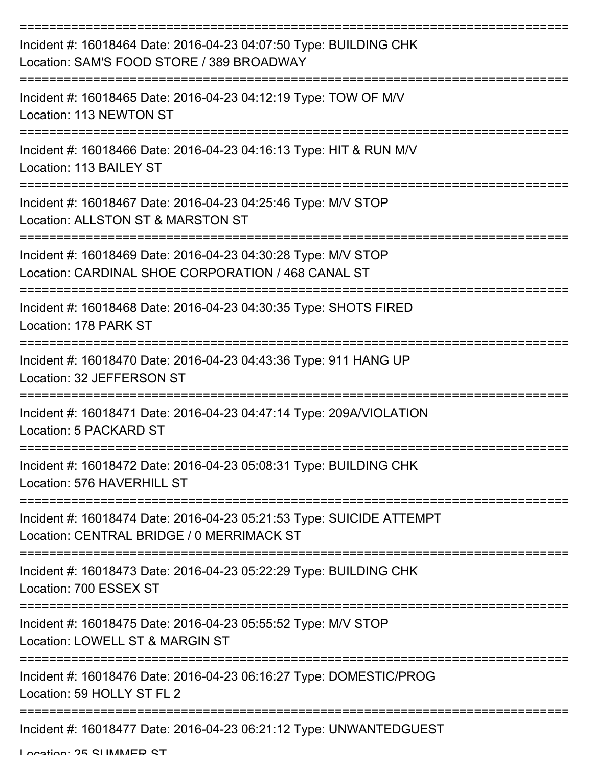| Incident #: 16018464 Date: 2016-04-23 04:07:50 Type: BUILDING CHK<br>Location: SAM'S FOOD STORE / 389 BROADWAY                                        |
|-------------------------------------------------------------------------------------------------------------------------------------------------------|
| Incident #: 16018465 Date: 2016-04-23 04:12:19 Type: TOW OF M/V<br>Location: 113 NEWTON ST                                                            |
| Incident #: 16018466 Date: 2016-04-23 04:16:13 Type: HIT & RUN M/V<br>Location: 113 BAILEY ST                                                         |
| Incident #: 16018467 Date: 2016-04-23 04:25:46 Type: M/V STOP<br>Location: ALLSTON ST & MARSTON ST                                                    |
| Incident #: 16018469 Date: 2016-04-23 04:30:28 Type: M/V STOP<br>Location: CARDINAL SHOE CORPORATION / 468 CANAL ST<br>============================== |
| Incident #: 16018468 Date: 2016-04-23 04:30:35 Type: SHOTS FIRED<br>Location: 178 PARK ST                                                             |
| Incident #: 16018470 Date: 2016-04-23 04:43:36 Type: 911 HANG UP<br>Location: 32 JEFFERSON ST                                                         |
| Incident #: 16018471 Date: 2016-04-23 04:47:14 Type: 209A/VIOLATION<br>Location: 5 PACKARD ST                                                         |
| Incident #: 16018472 Date: 2016-04-23 05:08:31 Type: BUILDING CHK<br>Location: 576 HAVERHILL ST                                                       |
| Incident #: 16018474 Date: 2016-04-23 05:21:53 Type: SUICIDE ATTEMPT<br>Location: CENTRAL BRIDGE / 0 MERRIMACK ST                                     |
| Incident #: 16018473 Date: 2016-04-23 05:22:29 Type: BUILDING CHK<br>Location: 700 ESSEX ST<br>================================                       |
| Incident #: 16018475 Date: 2016-04-23 05:55:52 Type: M/V STOP<br>Location: LOWELL ST & MARGIN ST                                                      |
| Incident #: 16018476 Date: 2016-04-23 06:16:27 Type: DOMESTIC/PROG<br>Location: 59 HOLLY ST FL 2                                                      |
| Incident #: 16018477 Date: 2016-04-23 06:21:12 Type: UNWANTEDGUEST                                                                                    |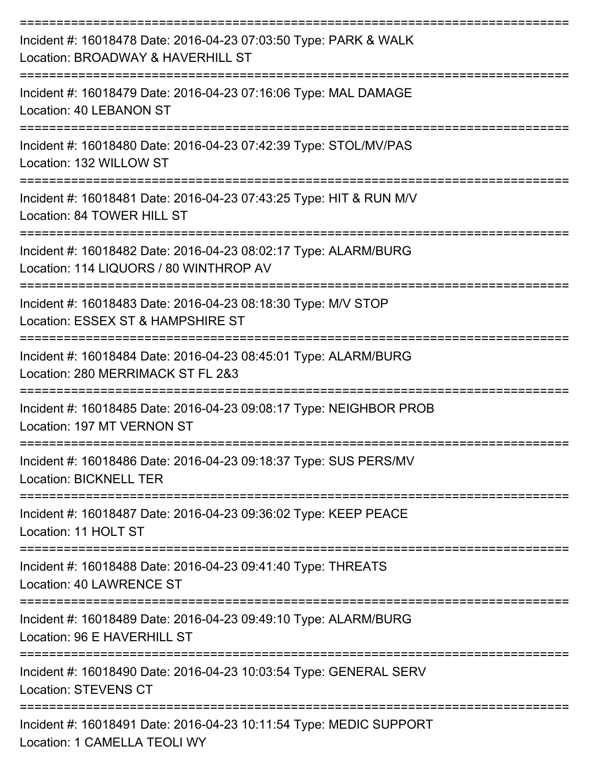| Incident #: 16018478 Date: 2016-04-23 07:03:50 Type: PARK & WALK<br>Location: BROADWAY & HAVERHILL ST<br>====================== |
|---------------------------------------------------------------------------------------------------------------------------------|
| Incident #: 16018479 Date: 2016-04-23 07:16:06 Type: MAL DAMAGE<br>Location: 40 LEBANON ST<br>----------------                  |
| Incident #: 16018480 Date: 2016-04-23 07:42:39 Type: STOL/MV/PAS<br>Location: 132 WILLOW ST                                     |
| Incident #: 16018481 Date: 2016-04-23 07:43:25 Type: HIT & RUN M/V<br>Location: 84 TOWER HILL ST                                |
| Incident #: 16018482 Date: 2016-04-23 08:02:17 Type: ALARM/BURG<br>Location: 114 LIQUORS / 80 WINTHROP AV                       |
| Incident #: 16018483 Date: 2016-04-23 08:18:30 Type: M/V STOP<br>Location: ESSEX ST & HAMPSHIRE ST                              |
| Incident #: 16018484 Date: 2016-04-23 08:45:01 Type: ALARM/BURG<br>Location: 280 MERRIMACK ST FL 2&3                            |
| Incident #: 16018485 Date: 2016-04-23 09:08:17 Type: NEIGHBOR PROB<br>Location: 197 MT VERNON ST                                |
| Incident #: 16018486 Date: 2016-04-23 09:18:37 Type: SUS PERS/MV<br><b>Location: BICKNELL TER</b>                               |
| Incident #: 16018487 Date: 2016-04-23 09:36:02 Type: KEEP PEACE<br>Location: 11 HOLT ST                                         |
| Incident #: 16018488 Date: 2016-04-23 09:41:40 Type: THREATS<br>Location: 40 LAWRENCE ST                                        |
| Incident #: 16018489 Date: 2016-04-23 09:49:10 Type: ALARM/BURG<br>Location: 96 E HAVERHILL ST                                  |
| Incident #: 16018490 Date: 2016-04-23 10:03:54 Type: GENERAL SERV<br><b>Location: STEVENS CT</b>                                |
| Incident #: 16018491 Date: 2016-04-23 10:11:54 Type: MEDIC SUPPORT<br>Location: 1 CAMELLA TEOLI WY                              |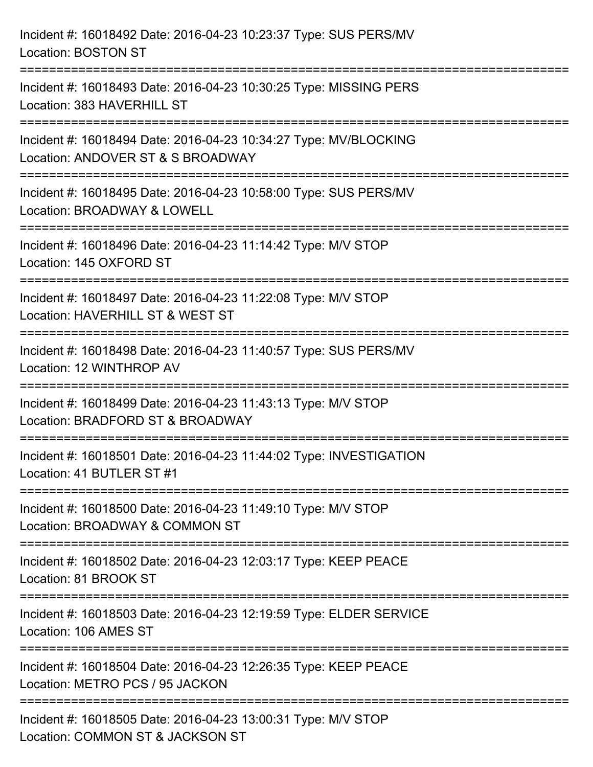| Incident #: 16018492 Date: 2016-04-23 10:23:37 Type: SUS PERS/MV<br><b>Location: BOSTON ST</b>                             |
|----------------------------------------------------------------------------------------------------------------------------|
| Incident #: 16018493 Date: 2016-04-23 10:30:25 Type: MISSING PERS<br>Location: 383 HAVERHILL ST                            |
| Incident #: 16018494 Date: 2016-04-23 10:34:27 Type: MV/BLOCKING<br>Location: ANDOVER ST & S BROADWAY                      |
| =======================<br>Incident #: 16018495 Date: 2016-04-23 10:58:00 Type: SUS PERS/MV<br>Location: BROADWAY & LOWELL |
| Incident #: 16018496 Date: 2016-04-23 11:14:42 Type: M/V STOP<br>Location: 145 OXFORD ST                                   |
| Incident #: 16018497 Date: 2016-04-23 11:22:08 Type: M/V STOP<br>Location: HAVERHILL ST & WEST ST                          |
| Incident #: 16018498 Date: 2016-04-23 11:40:57 Type: SUS PERS/MV<br>Location: 12 WINTHROP AV                               |
| Incident #: 16018499 Date: 2016-04-23 11:43:13 Type: M/V STOP<br>Location: BRADFORD ST & BROADWAY                          |
| Incident #: 16018501 Date: 2016-04-23 11:44:02 Type: INVESTIGATION<br>Location: 41 BUTLER ST #1                            |
| Incident #: 16018500 Date: 2016-04-23 11:49:10 Type: M/V STOP<br>Location: BROADWAY & COMMON ST                            |
| Incident #: 16018502 Date: 2016-04-23 12:03:17 Type: KEEP PEACE<br>Location: 81 BROOK ST                                   |
| Incident #: 16018503 Date: 2016-04-23 12:19:59 Type: ELDER SERVICE<br>Location: 106 AMES ST                                |
| Incident #: 16018504 Date: 2016-04-23 12:26:35 Type: KEEP PEACE<br>Location: METRO PCS / 95 JACKON                         |
| Incident #: 16018505 Date: 2016-04-23 13:00:31 Type: M/V STOP<br>Location: COMMON ST & JACKSON ST                          |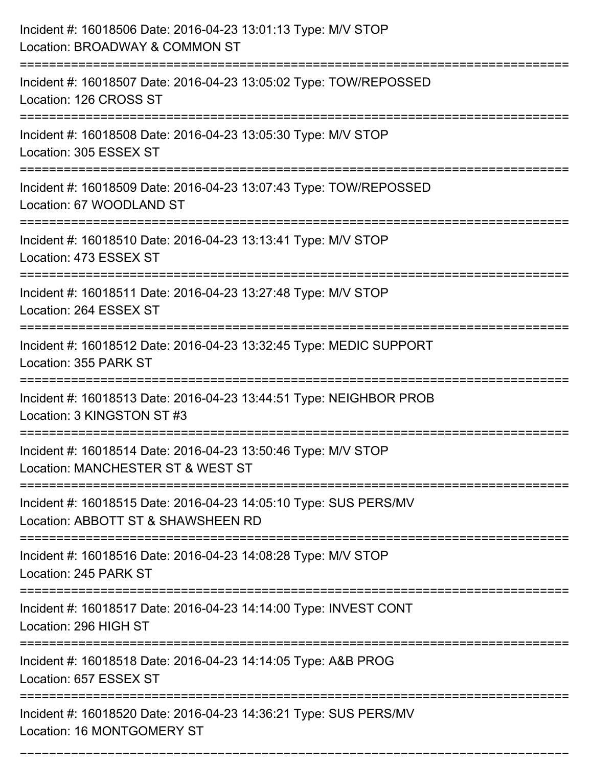| Incident #: 16018506 Date: 2016-04-23 13:01:13 Type: M/V STOP<br>Location: BROADWAY & COMMON ST                         |
|-------------------------------------------------------------------------------------------------------------------------|
| ======================<br>Incident #: 16018507 Date: 2016-04-23 13:05:02 Type: TOW/REPOSSED<br>Location: 126 CROSS ST   |
| Incident #: 16018508 Date: 2016-04-23 13:05:30 Type: M/V STOP<br>Location: 305 ESSEX ST                                 |
| Incident #: 16018509 Date: 2016-04-23 13:07:43 Type: TOW/REPOSSED<br>Location: 67 WOODLAND ST                           |
| Incident #: 16018510 Date: 2016-04-23 13:13:41 Type: M/V STOP<br>Location: 473 ESSEX ST                                 |
| Incident #: 16018511 Date: 2016-04-23 13:27:48 Type: M/V STOP<br>Location: 264 ESSEX ST                                 |
| Incident #: 16018512 Date: 2016-04-23 13:32:45 Type: MEDIC SUPPORT<br>Location: 355 PARK ST<br>======================== |
| Incident #: 16018513 Date: 2016-04-23 13:44:51 Type: NEIGHBOR PROB<br>Location: 3 KINGSTON ST #3                        |
| Incident #: 16018514 Date: 2016-04-23 13:50:46 Type: M/V STOP<br>Location: MANCHESTER ST & WEST ST                      |
| Incident #: 16018515 Date: 2016-04-23 14:05:10 Type: SUS PERS/MV<br>Location: ABBOTT ST & SHAWSHEEN RD                  |
| Incident #: 16018516 Date: 2016-04-23 14:08:28 Type: M/V STOP<br>Location: 245 PARK ST                                  |
| Incident #: 16018517 Date: 2016-04-23 14:14:00 Type: INVEST CONT<br>Location: 296 HIGH ST                               |
| Incident #: 16018518 Date: 2016-04-23 14:14:05 Type: A&B PROG<br>Location: 657 ESSEX ST                                 |
| Incident #: 16018520 Date: 2016-04-23 14:36:21 Type: SUS PERS/MV<br>Location: 16 MONTGOMERY ST                          |

===========================================================================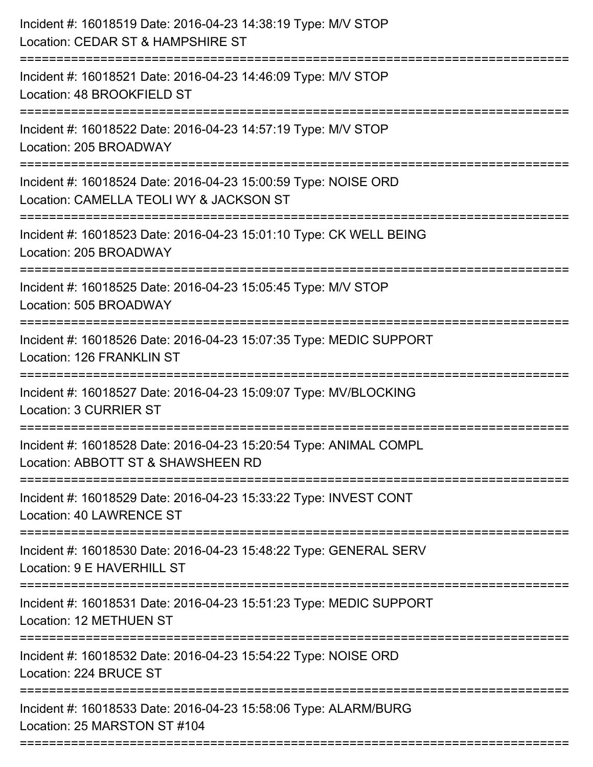| Incident #: 16018519 Date: 2016-04-23 14:38:19 Type: M/V STOP<br>Location: CEDAR ST & HAMPSHIRE ST                                                         |
|------------------------------------------------------------------------------------------------------------------------------------------------------------|
| :=========================<br>Incident #: 16018521 Date: 2016-04-23 14:46:09 Type: M/V STOP<br>Location: 48 BROOKFIELD ST                                  |
| Incident #: 16018522 Date: 2016-04-23 14:57:19 Type: M/V STOP<br>Location: 205 BROADWAY                                                                    |
| Incident #: 16018524 Date: 2016-04-23 15:00:59 Type: NOISE ORD<br>Location: CAMELLA TEOLI WY & JACKSON ST                                                  |
| Incident #: 16018523 Date: 2016-04-23 15:01:10 Type: CK WELL BEING<br>Location: 205 BROADWAY<br>================================<br>---------------------- |
| Incident #: 16018525 Date: 2016-04-23 15:05:45 Type: M/V STOP<br>Location: 505 BROADWAY                                                                    |
| Incident #: 16018526 Date: 2016-04-23 15:07:35 Type: MEDIC SUPPORT<br>Location: 126 FRANKLIN ST                                                            |
| Incident #: 16018527 Date: 2016-04-23 15:09:07 Type: MV/BLOCKING<br>Location: 3 CURRIER ST                                                                 |
| Incident #: 16018528 Date: 2016-04-23 15:20:54 Type: ANIMAL COMPL<br>Location: ABBOTT ST & SHAWSHEEN RD                                                    |
| Incident #: 16018529 Date: 2016-04-23 15:33:22 Type: INVEST CONT<br><b>Location: 40 LAWRENCE ST</b>                                                        |
| Incident #: 16018530 Date: 2016-04-23 15:48:22 Type: GENERAL SERV<br>Location: 9 E HAVERHILL ST                                                            |
| Incident #: 16018531 Date: 2016-04-23 15:51:23 Type: MEDIC SUPPORT<br>Location: 12 METHUEN ST                                                              |
| Incident #: 16018532 Date: 2016-04-23 15:54:22 Type: NOISE ORD<br>Location: 224 BRUCE ST                                                                   |
| Incident #: 16018533 Date: 2016-04-23 15:58:06 Type: ALARM/BURG<br>Location: 25 MARSTON ST #104                                                            |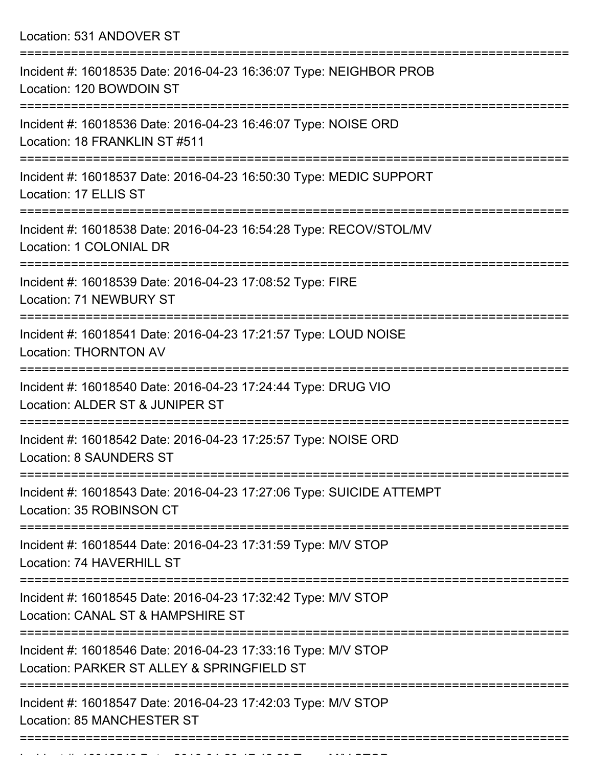Location: 531 ANDOVER ST

| Incident #: 16018535 Date: 2016-04-23 16:36:07 Type: NEIGHBOR PROB<br>Location: 120 BOWDOIN ST              |
|-------------------------------------------------------------------------------------------------------------|
| Incident #: 16018536 Date: 2016-04-23 16:46:07 Type: NOISE ORD<br>Location: 18 FRANKLIN ST #511             |
| Incident #: 16018537 Date: 2016-04-23 16:50:30 Type: MEDIC SUPPORT<br>Location: 17 ELLIS ST                 |
| Incident #: 16018538 Date: 2016-04-23 16:54:28 Type: RECOV/STOL/MV<br>Location: 1 COLONIAL DR               |
| Incident #: 16018539 Date: 2016-04-23 17:08:52 Type: FIRE<br>Location: 71 NEWBURY ST                        |
| Incident #: 16018541 Date: 2016-04-23 17:21:57 Type: LOUD NOISE<br><b>Location: THORNTON AV</b>             |
| Incident #: 16018540 Date: 2016-04-23 17:24:44 Type: DRUG VIO<br>Location: ALDER ST & JUNIPER ST            |
| Incident #: 16018542 Date: 2016-04-23 17:25:57 Type: NOISE ORD<br><b>Location: 8 SAUNDERS ST</b>            |
| Incident #: 16018543 Date: 2016-04-23 17:27:06 Type: SUICIDE ATTEMPT<br>Location: 35 ROBINSON CT            |
| Incident #: 16018544 Date: 2016-04-23 17:31:59 Type: M/V STOP<br>Location: 74 HAVERHILL ST                  |
| Incident #: 16018545 Date: 2016-04-23 17:32:42 Type: M/V STOP<br>Location: CANAL ST & HAMPSHIRE ST          |
| Incident #: 16018546 Date: 2016-04-23 17:33:16 Type: M/V STOP<br>Location: PARKER ST ALLEY & SPRINGFIELD ST |
| Incident #: 16018547 Date: 2016-04-23 17:42:03 Type: M/V STOP<br>Location: 85 MANCHESTER ST                 |
|                                                                                                             |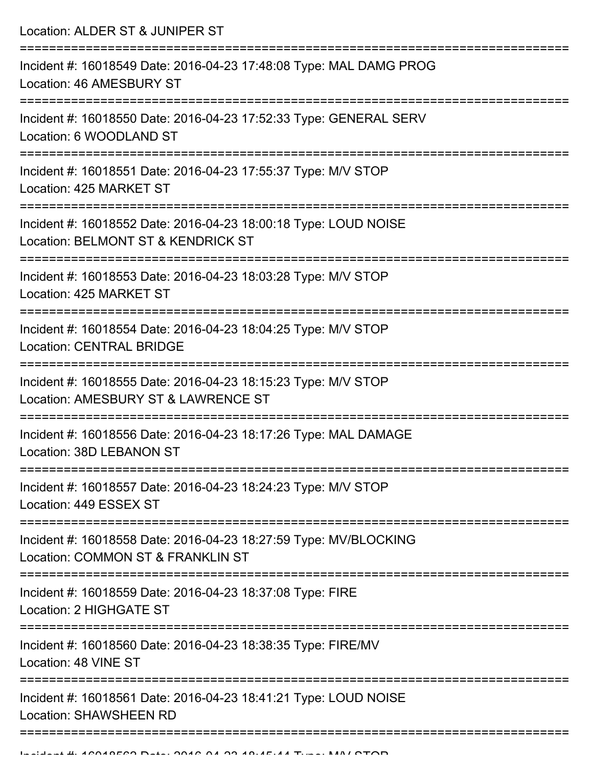Location: ALDER ST & JUNIPER ST =========================================================================== Incident #: 16018549 Date: 2016-04-23 17:48:08 Type: MAL DAMG PROG Location: 46 AMESBURY ST =========================================================================== Incident #: 16018550 Date: 2016-04-23 17:52:33 Type: GENERAL SERV Location: 6 WOODLAND ST =========================================================================== Incident #: 16018551 Date: 2016-04-23 17:55:37 Type: M/V STOP Location: 425 MARKET ST =========================================================================== Incident #: 16018552 Date: 2016-04-23 18:00:18 Type: LOUD NOISE Location: BELMONT ST & KENDRICK ST =========================================================================== Incident #: 16018553 Date: 2016-04-23 18:03:28 Type: M/V STOP Location: 425 MARKET ST =========================================================================== Incident #: 16018554 Date: 2016-04-23 18:04:25 Type: M/V STOP Location: CENTRAL BRIDGE =========================================================================== Incident #: 16018555 Date: 2016-04-23 18:15:23 Type: M/V STOP Location: AMESBURY ST & LAWRENCE ST =========================================================================== Incident #: 16018556 Date: 2016-04-23 18:17:26 Type: MAL DAMAGE Location: 38D LEBANON ST =========================================================================== Incident #: 16018557 Date: 2016-04-23 18:24:23 Type: M/V STOP Location: 449 ESSEX ST =========================================================================== Incident #: 16018558 Date: 2016-04-23 18:27:59 Type: MV/BLOCKING Location: COMMON ST & FRANKLIN ST =========================================================================== Incident #: 16018559 Date: 2016-04-23 18:37:08 Type: FIRE Location: 2 HIGHGATE ST =========================================================================== Incident #: 16018560 Date: 2016-04-23 18:38:35 Type: FIRE/MV Location: 48 VINE ST =========================================================================== Incident #: 16018561 Date: 2016-04-23 18:41:21 Type: LOUD NOISE Location: SHAWSHEEN RD ===========================================================================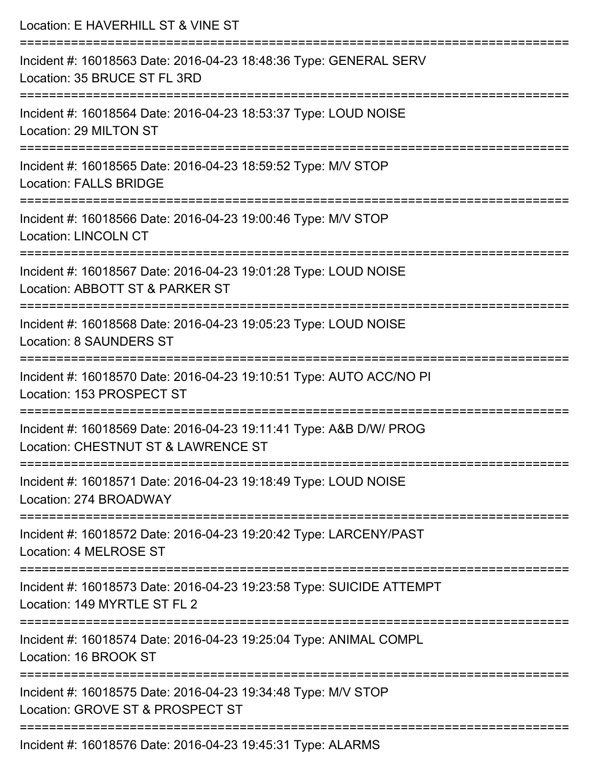| Location: E HAVERHILL ST & VINE ST                                                                                                   |
|--------------------------------------------------------------------------------------------------------------------------------------|
| Incident #: 16018563 Date: 2016-04-23 18:48:36 Type: GENERAL SERV<br>Location: 35 BRUCE ST FL 3RD                                    |
| Incident #: 16018564 Date: 2016-04-23 18:53:37 Type: LOUD NOISE<br>Location: 29 MILTON ST                                            |
| Incident #: 16018565 Date: 2016-04-23 18:59:52 Type: M/V STOP<br><b>Location: FALLS BRIDGE</b>                                       |
| :===================================<br>Incident #: 16018566 Date: 2016-04-23 19:00:46 Type: M/V STOP<br><b>Location: LINCOLN CT</b> |
| Incident #: 16018567 Date: 2016-04-23 19:01:28 Type: LOUD NOISE<br>Location: ABBOTT ST & PARKER ST                                   |
| ====================<br>Incident #: 16018568 Date: 2016-04-23 19:05:23 Type: LOUD NOISE<br><b>Location: 8 SAUNDERS ST</b>            |
| Incident #: 16018570 Date: 2016-04-23 19:10:51 Type: AUTO ACC/NO PI<br>Location: 153 PROSPECT ST                                     |
| Incident #: 16018569 Date: 2016-04-23 19:11:41 Type: A&B D/W/ PROG<br>Location: CHESTNUT ST & LAWRENCE ST                            |
| Incident #: 16018571 Date: 2016-04-23 19:18:49 Type: LOUD NOISE<br>Location: 274 BROADWAY                                            |
| Incident #: 16018572 Date: 2016-04-23 19:20:42 Type: LARCENY/PAST<br>Location: 4 MELROSE ST                                          |
| =========================<br>Incident #: 16018573 Date: 2016-04-23 19:23:58 Type: SUICIDE ATTEMPT<br>Location: 149 MYRTLE ST FL 2    |
| Incident #: 16018574 Date: 2016-04-23 19:25:04 Type: ANIMAL COMPL<br>Location: 16 BROOK ST                                           |
| Incident #: 16018575 Date: 2016-04-23 19:34:48 Type: M/V STOP<br>Location: GROVE ST & PROSPECT ST                                    |
| Incident #: 16018576 Date: 2016-04-23 19:45:31 Type: ALARMS                                                                          |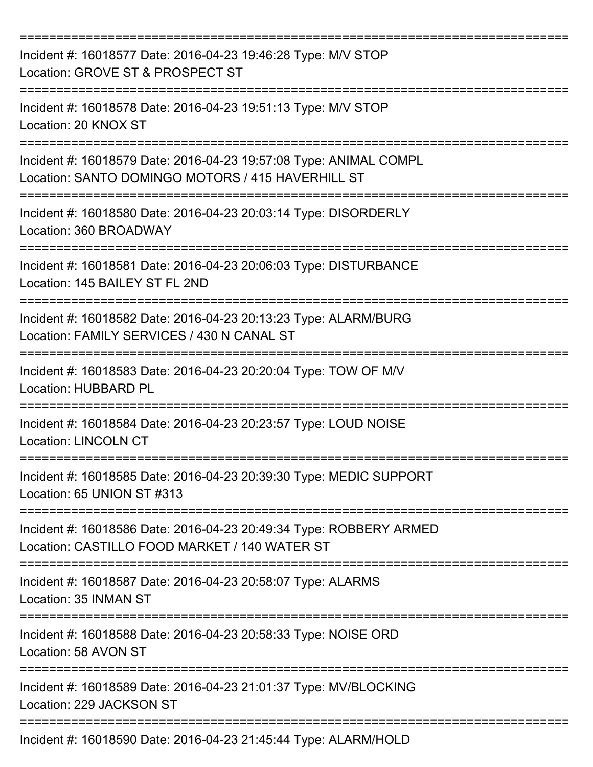| Incident #: 16018577 Date: 2016-04-23 19:46:28 Type: M/V STOP<br>Location: GROVE ST & PROSPECT ST                               |
|---------------------------------------------------------------------------------------------------------------------------------|
| Incident #: 16018578 Date: 2016-04-23 19:51:13 Type: M/V STOP<br>Location: 20 KNOX ST                                           |
| Incident #: 16018579 Date: 2016-04-23 19:57:08 Type: ANIMAL COMPL<br>Location: SANTO DOMINGO MOTORS / 415 HAVERHILL ST          |
| Incident #: 16018580 Date: 2016-04-23 20:03:14 Type: DISORDERLY<br>Location: 360 BROADWAY                                       |
| Incident #: 16018581 Date: 2016-04-23 20:06:03 Type: DISTURBANCE<br>Location: 145 BAILEY ST FL 2ND                              |
| Incident #: 16018582 Date: 2016-04-23 20:13:23 Type: ALARM/BURG<br>Location: FAMILY SERVICES / 430 N CANAL ST<br>-------------- |
| Incident #: 16018583 Date: 2016-04-23 20:20:04 Type: TOW OF M/V<br>Location: HUBBARD PL                                         |
| Incident #: 16018584 Date: 2016-04-23 20:23:57 Type: LOUD NOISE<br><b>Location: LINCOLN CT</b>                                  |
| Incident #: 16018585 Date: 2016-04-23 20:39:30 Type: MEDIC SUPPORT<br>Location: 65 UNION ST #313                                |
| Incident #: 16018586 Date: 2016-04-23 20:49:34 Type: ROBBERY ARMED<br>Location: CASTILLO FOOD MARKET / 140 WATER ST             |
| Incident #: 16018587 Date: 2016-04-23 20:58:07 Type: ALARMS<br>Location: 35 INMAN ST                                            |
| Incident #: 16018588 Date: 2016-04-23 20:58:33 Type: NOISE ORD<br>Location: 58 AVON ST                                          |
| Incident #: 16018589 Date: 2016-04-23 21:01:37 Type: MV/BLOCKING<br>Location: 229 JACKSON ST                                    |
| Incident #: 16018590 Date: 2016-04-23 21:45:44 Type: ALARM/HOLD                                                                 |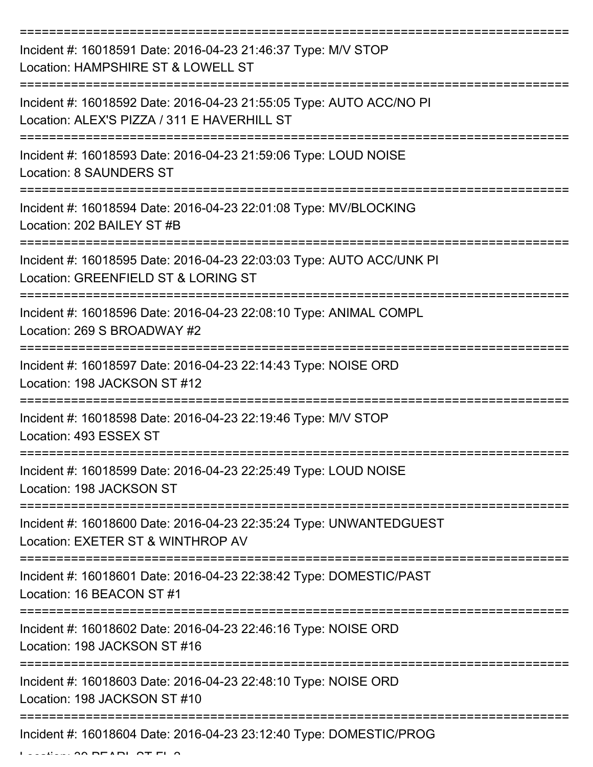| Incident #: 16018591 Date: 2016-04-23 21:46:37 Type: M/V STOP<br>Location: HAMPSHIRE ST & LOWELL ST                |
|--------------------------------------------------------------------------------------------------------------------|
| Incident #: 16018592 Date: 2016-04-23 21:55:05 Type: AUTO ACC/NO PI<br>Location: ALEX'S PIZZA / 311 E HAVERHILL ST |
| Incident #: 16018593 Date: 2016-04-23 21:59:06 Type: LOUD NOISE<br><b>Location: 8 SAUNDERS ST</b>                  |
| Incident #: 16018594 Date: 2016-04-23 22:01:08 Type: MV/BLOCKING<br>Location: 202 BAILEY ST #B                     |
| Incident #: 16018595 Date: 2016-04-23 22:03:03 Type: AUTO ACC/UNK PI<br>Location: GREENFIELD ST & LORING ST        |
| Incident #: 16018596 Date: 2016-04-23 22:08:10 Type: ANIMAL COMPL<br>Location: 269 S BROADWAY #2                   |
| Incident #: 16018597 Date: 2016-04-23 22:14:43 Type: NOISE ORD<br>Location: 198 JACKSON ST #12                     |
| Incident #: 16018598 Date: 2016-04-23 22:19:46 Type: M/V STOP<br>Location: 493 ESSEX ST                            |
| Incident #: 16018599 Date: 2016-04-23 22:25:49 Type: LOUD NOISE<br>Location: 198 JACKSON ST                        |
| Incident #: 16018600 Date: 2016-04-23 22:35:24 Type: UNWANTEDGUEST<br>Location: EXETER ST & WINTHROP AV            |
| Incident #: 16018601 Date: 2016-04-23 22:38:42 Type: DOMESTIC/PAST<br>Location: 16 BEACON ST #1                    |
| Incident #: 16018602 Date: 2016-04-23 22:46:16 Type: NOISE ORD<br>Location: 198 JACKSON ST #16                     |
| Incident #: 16018603 Date: 2016-04-23 22:48:10 Type: NOISE ORD<br>Location: 198 JACKSON ST #10                     |
| Incident #: 16018604 Date: 2016-04-23 23:12:40 Type: DOMESTIC/PROG                                                 |